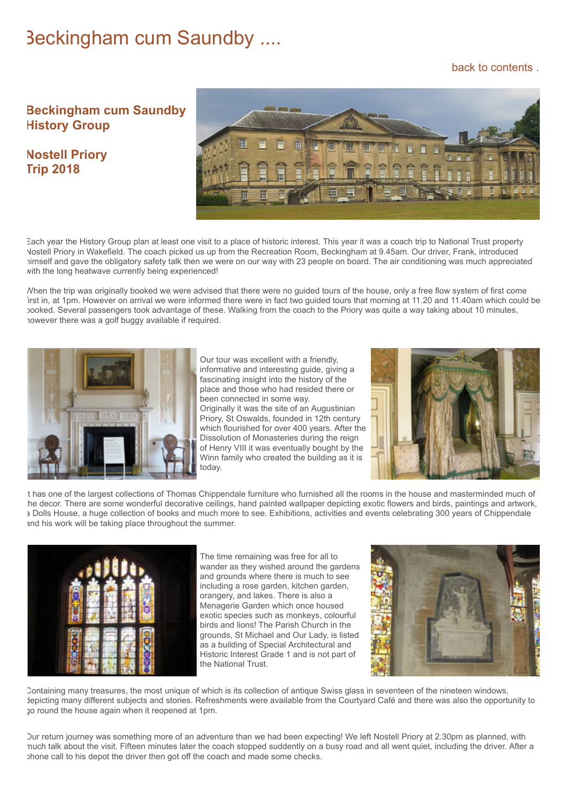## Beckingham cum Saundby ....

## [back to contents .](https://www.beckingham-northnotts.org.uk/contents.htm)

## **Beckingham cum Saundby History Group**

## **Nostell Priory Trip 2018**



Each year the History Group plan at least one visit to a place of historic interest. This year it was a coach trip to National Trust property Nostell Priory in Wakefield. The coach picked us up from the Recreation Room, Beckingham at 9.45am. Our driver, Frank, introduced himself and gave the obligatory safety talk then we were on our way with 23 people on board. The air conditioning was much appreciated with the long heatwave currently being experienced!

When the trip was originally booked we were advised that there were no guided tours of the house, only a free flow system of first come first in, at 1pm. However on arrival we were informed there were in fact two guided tours that morning at 11.20 and 11.40am which could be booked. Several passengers took advantage of these. Walking from the coach to the Priory was quite a way taking about 10 minutes, however there was a golf buggy available if required.



Our tour was excellent with a friendly, informative and interesting guide, giving a fascinating insight into the history of the place and those who had resided there or been connected in some way. Originally it was the site of an Augustinian Priory, St Oswalds, founded in 12th century which flourished for over 400 years. After the Dissolution of Monasteries during the reign of Henry VIII it was eventually bought by the Winn family who created the building as it is today.



t has one of the largest collections of Thomas Chippendale furniture who furnished all the rooms in the house and masterminded much of he decor. There are some wonderful decorative ceilings, hand painted wallpaper depicting exotic flowers and birds, paintings and artwork, a Dolls House, a huge collection of books and much more to see. Exhibitions, activities and events celebrating 300 years of Chippendale and his work will be taking place throughout the summer.



The time remaining was free for all to wander as they wished around the gardens and grounds where there is much to see including a rose garden, kitchen garden, orangery, and lakes. There is also a Menagerie Garden which once housed exotic species such as monkeys, colourful birds and lions! The Parish Church in the grounds, St Michael and Our Lady, is listed as a building of Special Architectural and Historic Interest Grade 1 and is not part of the National Trust.



Containing many treasures, the most unique of which is its collection of antique Swiss glass in seventeen of the nineteen windows, depicting many different subjects and stories. Refreshments were available from the Courtyard Café and there was also the opportunity to go round the house again when it reopened at 1pm.

Our return journey was something more of an adventure than we had been expecting! We left Nostell Priory at 2.30pm as planned, with much talk about the visit. Fifteen minutes later the coach stopped suddently on a busy road and all went quiet, including the driver. After a phone call to his depot the driver then got off the coach and made some checks.